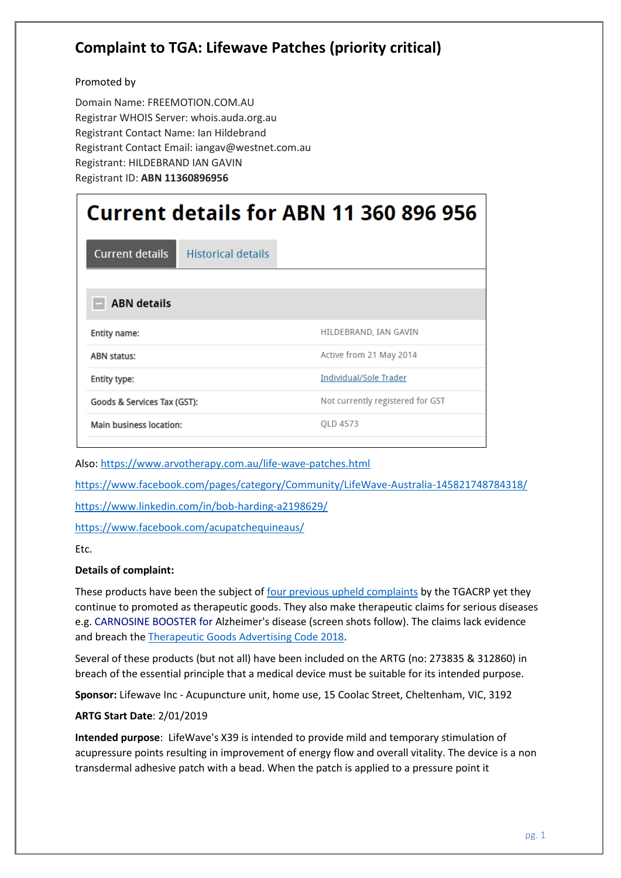## **Complaint to TGA: Lifewave Patches (priority critical)**

### Promoted by

Domain Name: FREEMOTION.COM.AU Registrar WHOIS Server: whois.auda.org.au Registrant Contact Name: Ian Hildebrand Registrant Contact Email: iangav@westnet.com.au Registrant: HILDEBRAND IAN GAVIN Registrant ID: **ABN 11360896956**

| Current details for ABN 11 360 896 956 |                           |                                  |
|----------------------------------------|---------------------------|----------------------------------|
| <b>Current details</b>                 | <b>Historical details</b> |                                  |
|                                        |                           |                                  |
| <b>ABN</b> details                     |                           |                                  |
| <b>Entity name:</b>                    |                           | HILDEBRAND, IAN GAVIN            |
| <b>ABN status:</b>                     |                           | Active from 21 May 2014          |
| <b>Entity type:</b>                    |                           | Individual/Sole Trader           |
| Goods & Services Tax (GST):            |                           | Not currently registered for GST |
| <b>Main business location:</b>         |                           | QLD 4573                         |
|                                        |                           |                                  |

Also[: https://www.arvotherapy.com.au/life-wave-patches.html](https://www.arvotherapy.com.au/life-wave-patches.html)

<https://www.facebook.com/pages/category/Community/LifeWave-Australia-145821748784318/>

<https://www.linkedin.com/in/bob-harding-a2198629/>

<https://www.facebook.com/acupatchequineaus/>

Etc.

#### **Details of complaint:**

These products have been the subject of four [previous upheld complaints](http://www.tgacrp.com.au/complaint-register/?_search=Lifewave) by the TGACRP yet they continue to promoted as therapeutic goods. They also make therapeutic claims for serious diseases e.g. CARNOSINE BOOSTER for Alzheimer's disease (screen shots follow). The claims lack evidence and breach the [Therapeutic Goods Advertising Code 2018.](https://www.legislation.gov.au/Details/F2018L00976)

Several of these products (but not all) have been included on the ARTG (no: 273835 & 312860) in breach of the essential principle that a medical device must be suitable for its intended purpose.

**Sponsor:** Lifewave Inc - Acupuncture unit, home use, 15 Coolac Street, Cheltenham, VIC, 3192

#### **ARTG Start Date**: 2/01/2019

**Intended purpose**: LifeWave's X39 is intended to provide mild and temporary stimulation of acupressure points resulting in improvement of energy flow and overall vitality. The device is a non transdermal adhesive patch with a bead. When the patch is applied to a pressure point it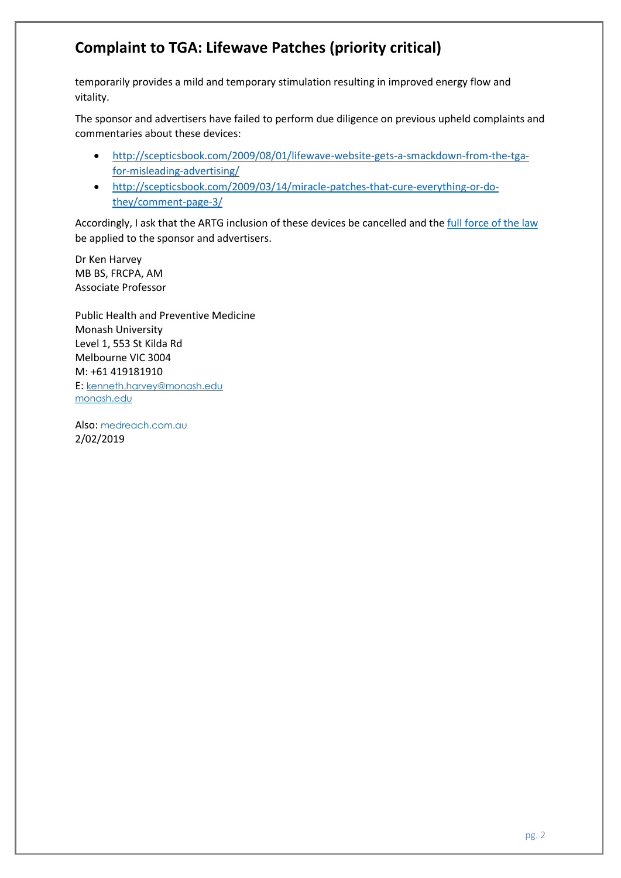# **Complaint to TGA: Lifewave Patches (priority critical)**

temporarily provides a mild and temporary stimulation resulting in improved energy flow and vitality.

The sponsor and advertisers have failed to perform due diligence on previous upheld complaints and commentaries about these devices:

- [http://scepticsbook.com/2009/08/01/lifewave-website-gets-a-smackdown-from-the-tga](http://scepticsbook.com/2009/08/01/lifewave-website-gets-a-smackdown-from-the-tga-for-misleading-advertising/)[for-misleading-advertising/](http://scepticsbook.com/2009/08/01/lifewave-website-gets-a-smackdown-from-the-tga-for-misleading-advertising/)
- [http://scepticsbook.com/2009/03/14/miracle-patches-that-cure-everything-or-do](http://scepticsbook.com/2009/03/14/miracle-patches-that-cure-everything-or-do-they/comment-page-3/)[they/comment-page-3/](http://scepticsbook.com/2009/03/14/miracle-patches-that-cure-everything-or-do-they/comment-page-3/)

Accordingly, I ask that the ARTG inclusion of these devices be cancelled and the [full force of the law](https://www.tga.gov.au/compliance-actions-0) be applied to the sponsor and advertisers.

Dr Ken Harvey MB BS, FRCPA, AM Associate Professor

Public Health and Preventive Medicine Monash University Level 1, 553 St Kilda Rd Melbourne VIC 3004 M: +61 419181910 E: [kenneth.harvey@monash.edu](mailto:kenneth.harvey@monash.edu) [monash.edu](http://monash.edu/)

Also: <medreach.com.au> 2/02/2019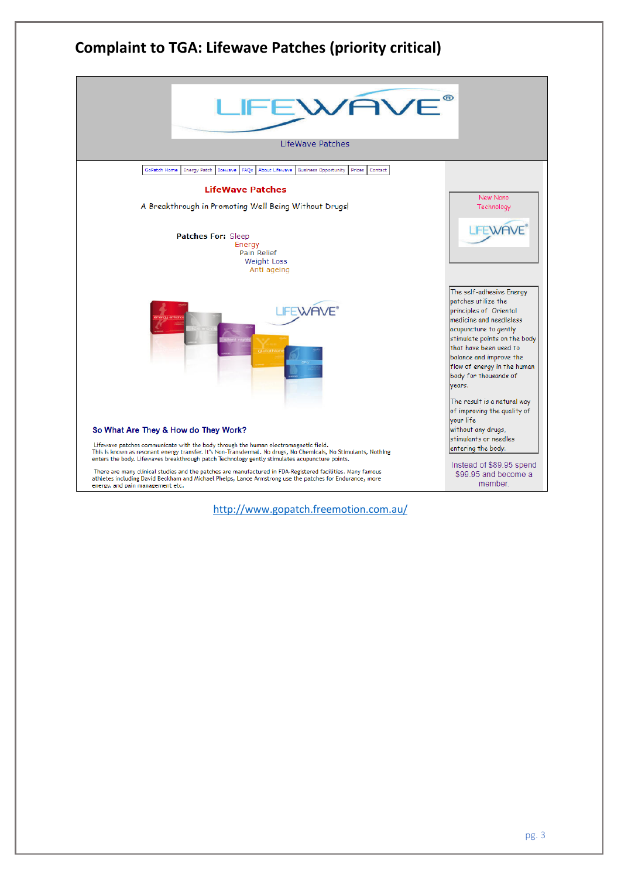

<http://www.gopatch.freemotion.com.au/>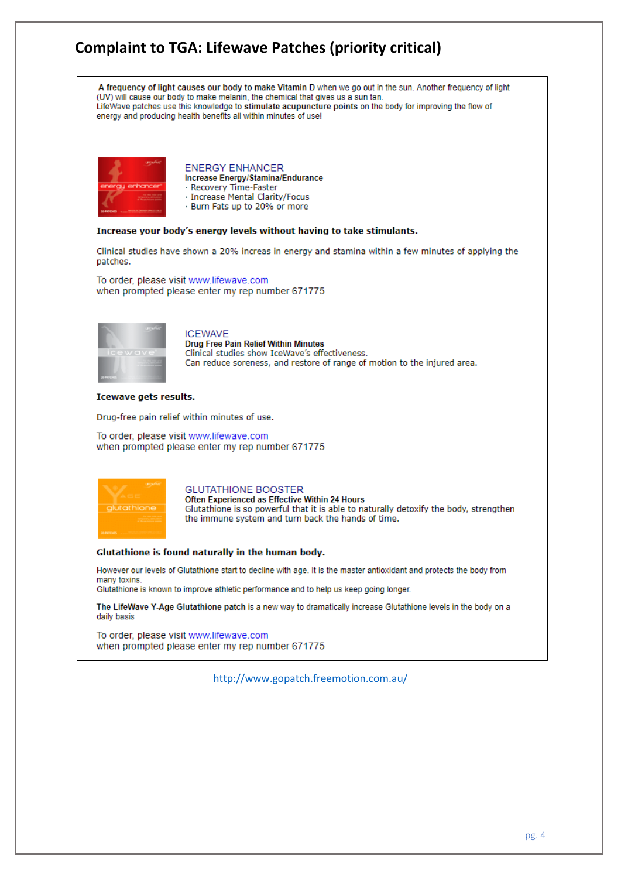